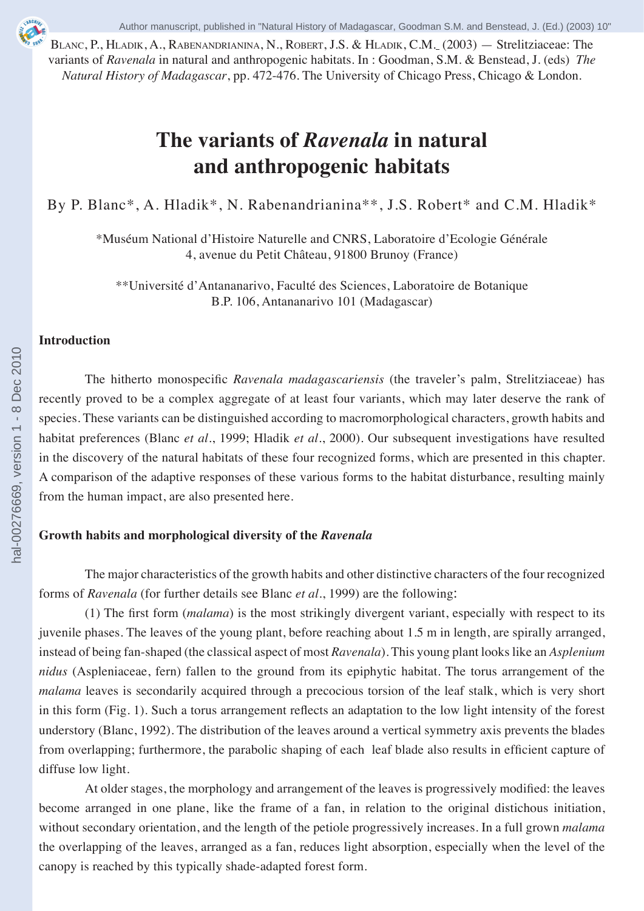BLANC, P., HLADIK, A., RABENANDRIANINA, N., ROBERT, J.S. & HLADIK, C.M. (2003) — Strelitziaceae: The variants of *Ravenala* in natural and anthropogenic habitats. In : Goodman, S.M. & Benstead, J. (eds) *The Natural History of Madagascar*, pp. 472-476. The University of Chicago Press, Chicago & London.

# **The variants of** *Ravenala* **in natural and anthropogenic habitats**

By P. Blanc\*, A. Hladik\*, N. Rabenandrianina\*\*, J.S. Robert\* and C.M. Hladik\*

\*Muséum National d'Histoire Naturelle and CNRS, Laboratoire d'Ecologie Générale 4, avenue du Petit Château, 91800 Brunoy (France)

\*\*Université d'Antananarivo, Faculté des Sciences, Laboratoire de Botanique B.P. 106, Antananarivo 101 (Madagascar)

## **Introduction**

The hitherto monospecific *Ravenala madagascariensis* (the traveler's palm, Strelitziaceae) has recently proved to be a complex aggregate of at least four variants, which may later deserve the rank of species. These variants can be distinguished according to macromorphological characters, growth habits and habitat preferences (Blanc *et al*., 1999; Hladik *et al.*, 2000). Our subsequent investigations have resulted in the discovery of the natural habitats of these four recognized forms, which are presented in this chapter. A comparison of the adaptive responses of these various forms to the habitat disturbance, resulting mainly from the human impact, are also presented here.

## **Growth habits and morphological diversity of the** *Ravenala*

The major characteristics of the growth habits and other distinctive characters of the four recognized forms of *Ravenala* (for further details see Blanc *et al*., 1999) are the following:

(1) The first form (*malama*) is the most strikingly divergent variant, especially with respect to its juvenile phases. The leaves of the young plant, before reaching about 1.5 m in length, are spirally arranged, instead of being fan-shaped (the classical aspect of most *Ravenala*). This young plant looks like an *Asplenium nidus* (Aspleniaceae, fern) fallen to the ground from its epiphytic habitat. The torus arrangement of the *malama* leaves is secondarily acquired through a precocious torsion of the leaf stalk, which is very short in this form (Fig. 1). Such a torus arrangement reflects an adaptation to the low light intensity of the forest understory (Blanc, 1992). The distribution of the leaves around a vertical symmetry axis prevents the blades from overlapping; furthermore, the parabolic shaping of each leaf blade also results in efficient capture of diffuse low light.

At older stages, the morphology and arrangement of the leaves is progressively modified: the leaves become arranged in one plane, like the frame of a fan, in relation to the original distichous initiation, without secondary orientation, and the length of the petiole progressively increases. In a full grown *malama* the overlapping of the leaves, arranged as a fan, reduces light absorption, especially when the level of the canopy is reached by this typically shade-adapted forest form.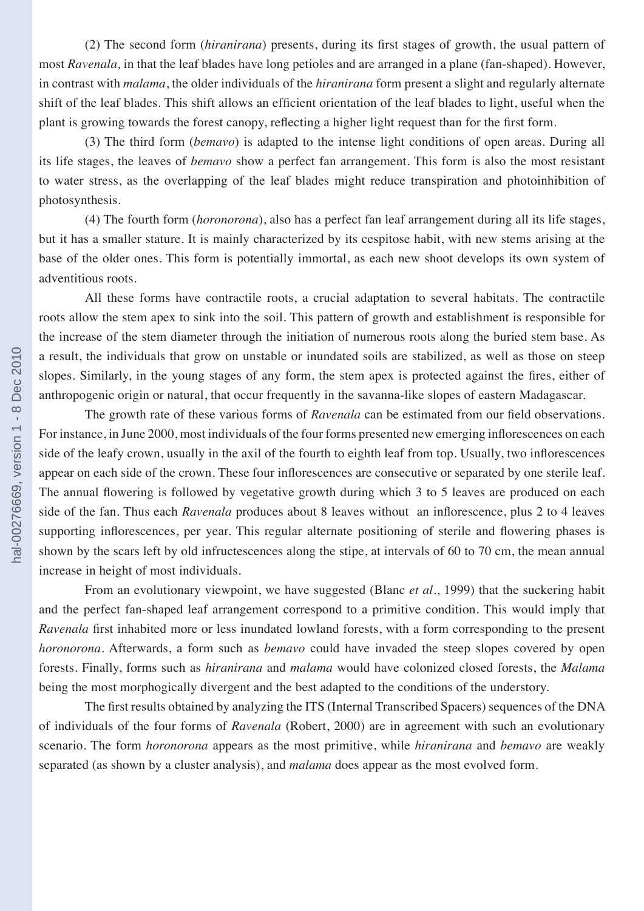(2) The second form (*hiranirana*) presents, during its first stages of growth, the usual pattern of most *Ravenala,* in that the leaf blades have long petioles and are arranged in a plane (fan-shaped). However, in contrast with *malama*, the older individuals of the *hiranirana* form present a slight and regularly alternate shift of the leaf blades. This shift allows an efficient orientation of the leaf blades to light, useful when the plant is growing towards the forest canopy, reflecting a higher light request than for the first form.

(3) The third form (*bemavo*) is adapted to the intense light conditions of open areas. During all its life stages, the leaves of *bemavo* show a perfect fan arrangement. This form is also the most resistant to water stress, as the overlapping of the leaf blades might reduce transpiration and photoinhibition of photosynthesis.

(4) The fourth form (*horonorona*), also has a perfect fan leaf arrangement during all its life stages, but it has a smaller stature. It is mainly characterized by its cespitose habit, with new stems arising at the base of the older ones. This form is potentially immortal, as each new shoot develops its own system of adventitious roots.

All these forms have contractile roots, a crucial adaptation to several habitats. The contractile roots allow the stem apex to sink into the soil. This pattern of growth and establishment is responsible for the increase of the stem diameter through the initiation of numerous roots along the buried stem base. As a result, the individuals that grow on unstable or inundated soils are stabilized, as well as those on steep slopes. Similarly, in the young stages of any form, the stem apex is protected against the fires, either of anthropogenic origin or natural, that occur frequently in the savanna-like slopes of eastern Madagascar.

The growth rate of these various forms of *Ravenala* can be estimated from our field observations. For instance, in June 2000, most individuals of the four forms presented new emerging inflorescences on each side of the leafy crown, usually in the axil of the fourth to eighth leaf from top. Usually, two inflorescences appear on each side of the crown. These four inflorescences are consecutive or separated by one sterile leaf. The annual flowering is followed by vegetative growth during which 3 to 5 leaves are produced on each side of the fan. Thus each *Ravenala* produces about 8 leaves without an inflorescence, plus 2 to 4 leaves supporting inflorescences, per year. This regular alternate positioning of sterile and flowering phases is shown by the scars left by old infructescences along the stipe, at intervals of 60 to 70 cm, the mean annual increase in height of most individuals.

From an evolutionary viewpoint, we have suggested (Blanc *et al*., 1999) that the suckering habit and the perfect fan-shaped leaf arrangement correspond to a primitive condition. This would imply that *Ravenala* first inhabited more or less inundated lowland forests, with a form corresponding to the present *horonorona*. Afterwards, a form such as *bemavo* could have invaded the steep slopes covered by open forests. Finally, forms such as *hiranirana* and *malama* would have colonized closed forests, the *Malama*  being the most morphogically divergent and the best adapted to the conditions of the understory.

The first results obtained by analyzing the ITS (Internal Transcribed Spacers) sequences of the DNA of individuals of the four forms of *Ravenala* (Robert, 2000) are in agreement with such an evolutionary scenario. The form *horonorona* appears as the most primitive, while *hiranirana* and *bemavo* are weakly separated (as shown by a cluster analysis), and *malama* does appear as the most evolved form.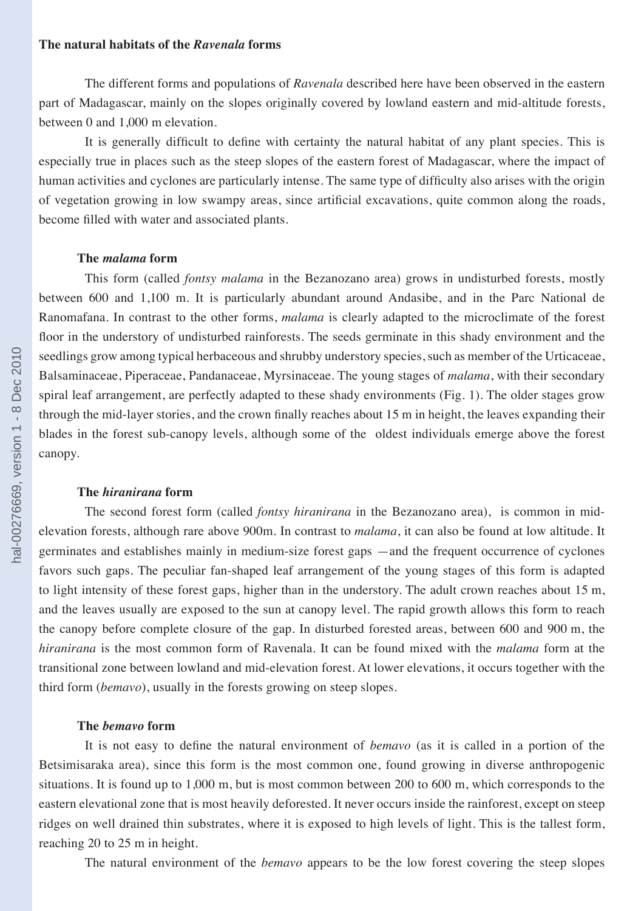## **The natural habitats of the** *Ravenala* **forms**

The different forms and populations of *Ravenala* described here have been observed in the eastern part of Madagascar, mainly on the slopes originally covered by lowland eastern and mid-altitude forests, between 0 and 1,000 m elevation.

It is generally difficult to define with certainty the natural habitat of any plant species. This is especially true in places such as the steep slopes of the eastern forest of Madagascar, where the impact of human activities and cyclones are particularly intense. The same type of difficulty also arises with the origin of vegetation growing in low swampy areas, since artificial excavations, quite common along the roads, become filled with water and associated plants.

#### **The** *malama* **form**

This form (called *fontsy malama* in the Bezanozano area) grows in undisturbed forests, mostly between 600 and 1,100 m. It is particularly abundant around Andasibe, and in the Parc National de Ranomafana. In contrast to the other forms, *malama* is clearly adapted to the microclimate of the forest floor in the understory of undisturbed rainforests. The seeds germinate in this shady environment and the seedlings grow among typical herbaceous and shrubby understory species, such as member of the Urticaceae, Balsaminaceae, Piperaceae, Pandanaceae, Myrsinaceae. The young stages of *malama*, with their secondary spiral leaf arrangement, are perfectly adapted to these shady environments (Fig. 1). The older stages grow through the mid-layer stories, and the crown finally reaches about 15 m in height, the leaves expanding their blades in the forest sub-canopy levels, although some of the oldest individuals emerge above the forest canopy.

## **The** *hiranirana* **form**

The second forest form (called *fontsy hiranirana* in the Bezanozano area), is common in midelevation forests, although rare above 900m. In contrast to *malama*, it can also be found at low altitude. It germinates and establishes mainly in medium-size forest gaps —and the frequent occurrence of cyclones favors such gaps. The peculiar fan-shaped leaf arrangement of the young stages of this form is adapted to light intensity of these forest gaps, higher than in the understory. The adult crown reaches about 15 m, and the leaves usually are exposed to the sun at canopy level. The rapid growth allows this form to reach the canopy before complete closure of the gap. In disturbed forested areas, between 600 and 900 m, the *hiranirana* is the most common form of Ravenala. It can be found mixed with the *malama* form at the transitional zone between lowland and mid-elevation forest. At lower elevations, it occurs together with the third form (*bemavo*), usually in the forests growing on steep slopes.

#### **The** *bemavo* **form**

It is not easy to define the natural environment of *bemavo* (as it is called in a portion of the Betsimisaraka area), since this form is the most common one, found growing in diverse anthropogenic situations. It is found up to 1,000 m, but is most common between 200 to 600 m, which corresponds to the eastern elevational zone that is most heavily deforested. It never occurs inside the rainforest, except on steep ridges on well drained thin substrates, where it is exposed to high levels of light. This is the tallest form, reaching 20 to 25 m in height.

The natural environment of the *bemavo* appears to be the low forest covering the steep slopes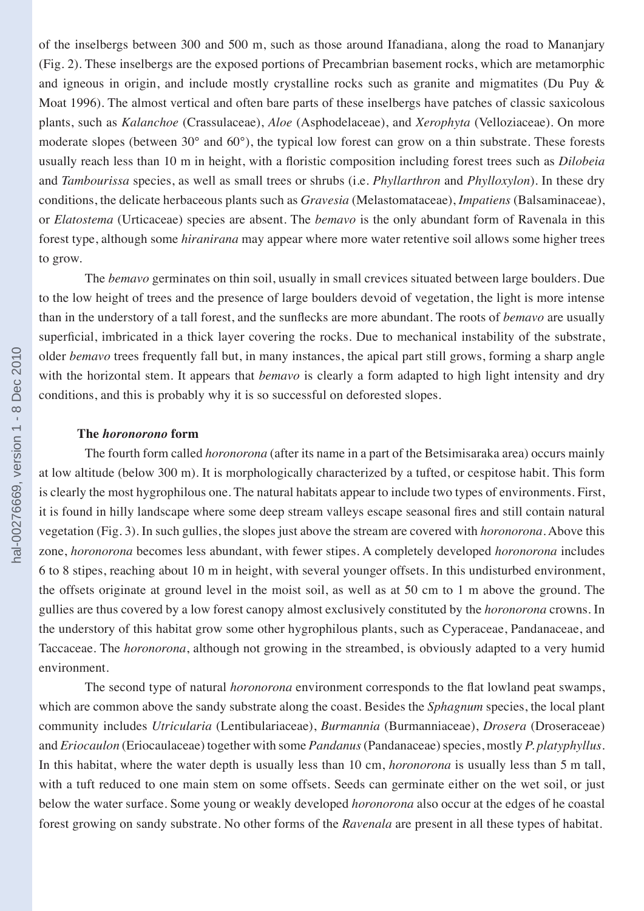of the inselbergs between 300 and 500 m, such as those around Ifanadiana, along the road to Mananjary (Fig. 2). These inselbergs are the exposed portions of Precambrian basement rocks, which are metamorphic and igneous in origin, and include mostly crystalline rocks such as granite and migmatites (Du Puy & Moat 1996). The almost vertical and often bare parts of these inselbergs have patches of classic saxicolous plants, such as *Kalanchoe* (Crassulaceae), *Aloe* (Asphodelaceae), and *Xerophyta* (Velloziaceae). On more moderate slopes (between 30° and 60°), the typical low forest can grow on a thin substrate. These forests usually reach less than 10 m in height, with a floristic composition including forest trees such as *Dilobeia*  and *Tambourissa* species, as well as small trees or shrubs (i.e. *Phyllarthron* and *Phylloxylon*). In these dry conditions, the delicate herbaceous plants such as *Gravesia* (Melastomataceae), *Impatiens* (Balsaminaceae), or *Elatostema* (Urticaceae) species are absent. The *bemavo* is the only abundant form of Ravenala in this forest type, although some *hiranirana* may appear where more water retentive soil allows some higher trees to grow.

The *bemavo* germinates on thin soil, usually in small crevices situated between large boulders. Due to the low height of trees and the presence of large boulders devoid of vegetation, the light is more intense than in the understory of a tall forest, and the sunflecks are more abundant. The roots of *bemavo* are usually superficial, imbricated in a thick layer covering the rocks. Due to mechanical instability of the substrate, older *bemavo* trees frequently fall but, in many instances, the apical part still grows, forming a sharp angle with the horizontal stem. It appears that *bemavo* is clearly a form adapted to high light intensity and dry conditions, and this is probably why it is so successful on deforested slopes.

## **The** *horonorono* **form**

The fourth form called *horonorona* (after its name in a part of the Betsimisaraka area) occurs mainly at low altitude (below 300 m). It is morphologically characterized by a tufted, or cespitose habit. This form is clearly the most hygrophilous one. The natural habitats appear to include two types of environments. First, it is found in hilly landscape where some deep stream valleys escape seasonal fires and still contain natural vegetation (Fig. 3). In such gullies, the slopes just above the stream are covered with *horonorona*. Above this zone, *horonorona* becomes less abundant, with fewer stipes. A completely developed *horonorona* includes 6 to 8 stipes, reaching about 10 m in height, with several younger offsets. In this undisturbed environment, the offsets originate at ground level in the moist soil, as well as at 50 cm to 1 m above the ground. The gullies are thus covered by a low forest canopy almost exclusively constituted by the *horonorona* crowns. In the understory of this habitat grow some other hygrophilous plants, such as Cyperaceae, Pandanaceae, and Taccaceae. The *horonorona*, although not growing in the streambed, is obviously adapted to a very humid environment.

The second type of natural *horonorona* environment corresponds to the flat lowland peat swamps, which are common above the sandy substrate along the coast. Besides the *Sphagnum* species, the local plant community includes *Utricularia* (Lentibulariaceae), *Burmannia* (Burmanniaceae), *Drosera* (Droseraceae) and *Eriocaulon* (Eriocaulaceae) together with some *Pandanus* (Pandanaceae) species, mostly *P. platyphyllus*. In this habitat, where the water depth is usually less than 10 cm, *horonorona* is usually less than 5 m tall, with a tuft reduced to one main stem on some offsets. Seeds can germinate either on the wet soil, or just below the water surface. Some young or weakly developed *horonorona* also occur at the edges of he coastal forest growing on sandy substrate. No other forms of the *Ravenala* are present in all these types of habitat.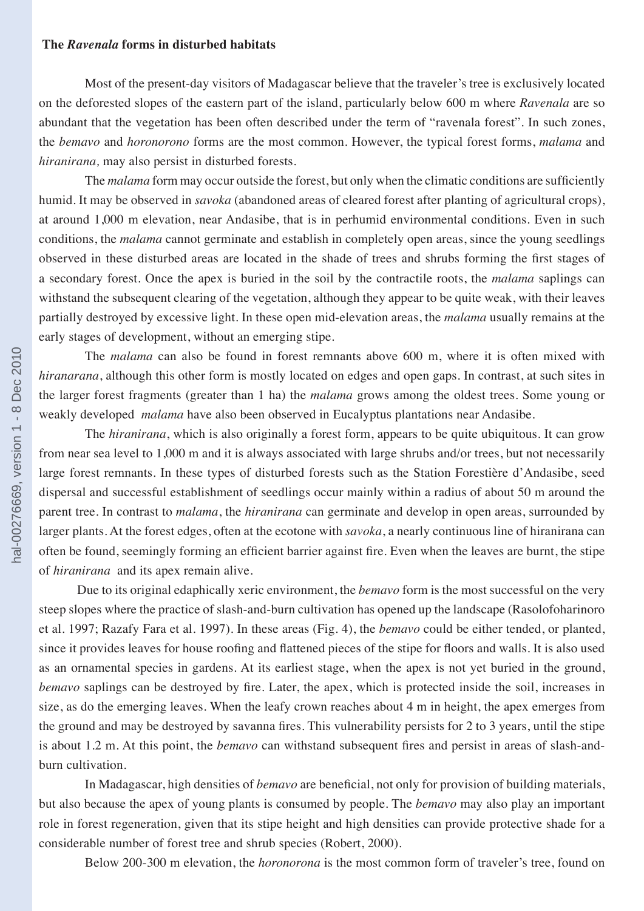#### **The** *Ravenala* **forms in disturbed habitats**

Most of the present-day visitors of Madagascar believe that the traveler's tree is exclusively located on the deforested slopes of the eastern part of the island, particularly below 600 m where *Ravenala* are so abundant that the vegetation has been often described under the term of "ravenala forest". In such zones, the *bemavo* and *horonorono* forms are the most common. However, the typical forest forms, *malama* and *hiranirana,* may also persist in disturbed forests.

The *malama* form may occur outside the forest, but only when the climatic conditions are sufficiently humid. It may be observed in *savoka* (abandoned areas of cleared forest after planting of agricultural crops), at around 1,000 m elevation, near Andasibe, that is in perhumid environmental conditions. Even in such conditions, the *malama* cannot germinate and establish in completely open areas, since the young seedlings observed in these disturbed areas are located in the shade of trees and shrubs forming the first stages of a secondary forest. Once the apex is buried in the soil by the contractile roots, the *malama* saplings can withstand the subsequent clearing of the vegetation, although they appear to be quite weak, with their leaves partially destroyed by excessive light. In these open mid-elevation areas, the *malama* usually remains at the early stages of development, without an emerging stipe.

The *malama* can also be found in forest remnants above 600 m, where it is often mixed with *hiranarana*, although this other form is mostly located on edges and open gaps. In contrast, at such sites in the larger forest fragments (greater than 1 ha) the *malama* grows among the oldest trees. Some young or weakly developed *malama* have also been observed in Eucalyptus plantations near Andasibe.

The *hiranirana*, which is also originally a forest form, appears to be quite ubiquitous. It can grow from near sea level to 1,000 m and it is always associated with large shrubs and/or trees, but not necessarily large forest remnants. In these types of disturbed forests such as the Station Forestière d'Andasibe, seed dispersal and successful establishment of seedlings occur mainly within a radius of about 50 m around the parent tree. In contrast to *malama*, the *hiranirana* can germinate and develop in open areas, surrounded by larger plants. At the forest edges, often at the ecotone with *savoka*, a nearly continuous line of hiranirana can often be found, seemingly forming an efficient barrier against fire. Even when the leaves are burnt, the stipe of *hiranirana* and its apex remain alive.

Due to its original edaphically xeric environment, the *bemavo* form is the most successful on the very steep slopes where the practice of slash-and-burn cultivation has opened up the landscape (Rasolofoharinoro et al. 1997; Razafy Fara et al. 1997). In these areas (Fig. 4), the *bemavo* could be either tended, or planted, since it provides leaves for house roofing and flattened pieces of the stipe for floors and walls. It is also used as an ornamental species in gardens. At its earliest stage, when the apex is not yet buried in the ground, *bemavo* saplings can be destroyed by fire. Later, the apex, which is protected inside the soil, increases in size, as do the emerging leaves. When the leafy crown reaches about 4 m in height, the apex emerges from the ground and may be destroyed by savanna fires. This vulnerability persists for 2 to 3 years, until the stipe is about 1.2 m. At this point, the *bemavo* can withstand subsequent fires and persist in areas of slash-andburn cultivation.

In Madagascar, high densities of *bemavo* are beneficial, not only for provision of building materials, but also because the apex of young plants is consumed by people. The *bemavo* may also play an important role in forest regeneration, given that its stipe height and high densities can provide protective shade for a considerable number of forest tree and shrub species (Robert, 2000).

Below 200-300 m elevation, the *horonorona* is the most common form of traveler's tree, found on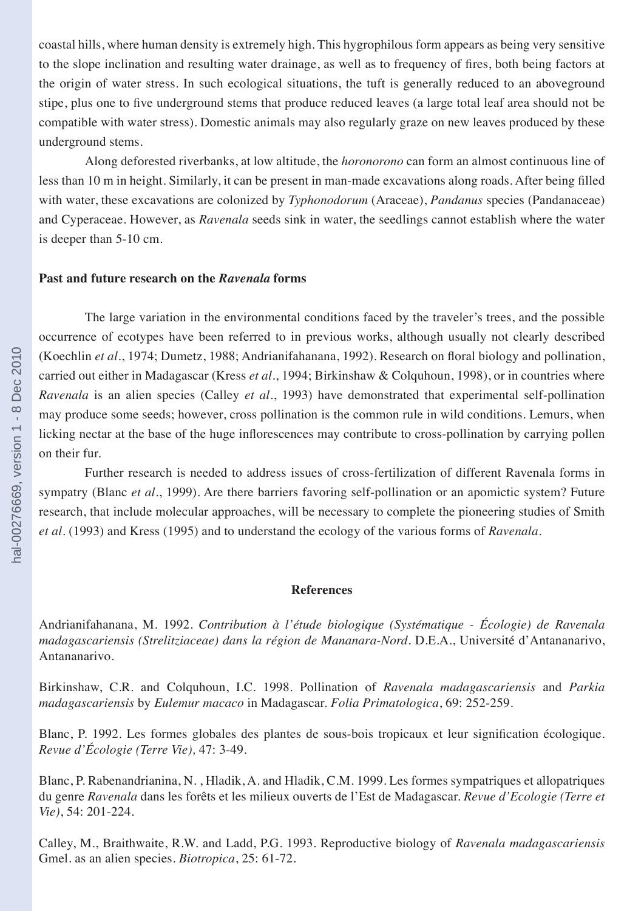coastal hills, where human density is extremely high. This hygrophilous form appears as being very sensitive to the slope inclination and resulting water drainage, as well as to frequency of fires, both being factors at the origin of water stress. In such ecological situations, the tuft is generally reduced to an aboveground stipe, plus one to five underground stems that produce reduced leaves (a large total leaf area should not be compatible with water stress). Domestic animals may also regularly graze on new leaves produced by these underground stems.

Along deforested riverbanks, at low altitude, the *horonorono* can form an almost continuous line of less than 10 m in height. Similarly, it can be present in man-made excavations along roads. After being filled with water, these excavations are colonized by *Typhonodorum* (Araceae), *Pandanus* species (Pandanaceae) and Cyperaceae. However, as *Ravenala* seeds sink in water, the seedlings cannot establish where the water is deeper than 5-10 cm.

## **Past and future research on the** *Ravenala* **forms**

The large variation in the environmental conditions faced by the traveler's trees, and the possible occurrence of ecotypes have been referred to in previous works, although usually not clearly described (Koechlin *et al*., 1974; Dumetz, 1988; Andrianifahanana, 1992). Research on floral biology and pollination, carried out either in Madagascar (Kress *et al*., 1994; Birkinshaw & Colquhoun, 1998), or in countries where *Ravenala* is an alien species (Calley *et al*., 1993) have demonstrated that experimental self-pollination may produce some seeds; however, cross pollination is the common rule in wild conditions. Lemurs, when licking nectar at the base of the huge inflorescences may contribute to cross-pollination by carrying pollen on their fur.

Further research is needed to address issues of cross-fertilization of different Ravenala forms in sympatry (Blanc *et al*., 1999). Are there barriers favoring self-pollination or an apomictic system? Future research, that include molecular approaches, will be necessary to complete the pioneering studies of Smith *et al*. (1993) and Kress (1995) and to understand the ecology of the various forms of *Ravenala*.

#### **References**

Andrianifahanana, M. 1992. *Contribution à l'étude biologique (Systématique - Écologie) de Ravenala madagascariensis (Strelitziaceae) dans la région de Mananara-Nord*. D.E.A., Université d'Antananarivo, Antananarivo.

Birkinshaw, C.R. and Colquhoun, I.C. 1998. Pollination of *Ravenala madagascariensis* and *Parkia madagascariensis* by *Eulemur macaco* in Madagascar. *Folia Primatologica*, 69: 252-259.

Blanc, P. 1992. Les formes globales des plantes de sous-bois tropicaux et leur signification écologique. *Revue d'Écologie (Terre Vie),* 47: 3-49.

Blanc, P. Rabenandrianina, N. , Hladik, A. and Hladik, C.M. 1999. Les formes sympatriques et allopatriques du genre *Ravenala* dans les forêts et les milieux ouverts de l'Est de Madagascar. *Revue d'Ecologie (Terre et Vie)*, 54: 201-224.

Calley, M., Braithwaite, R.W. and Ladd, P.G. 1993. Reproductive biology of *Ravenala madagascariensis* Gmel. as an alien species. *Biotropica*, 25: 61-72.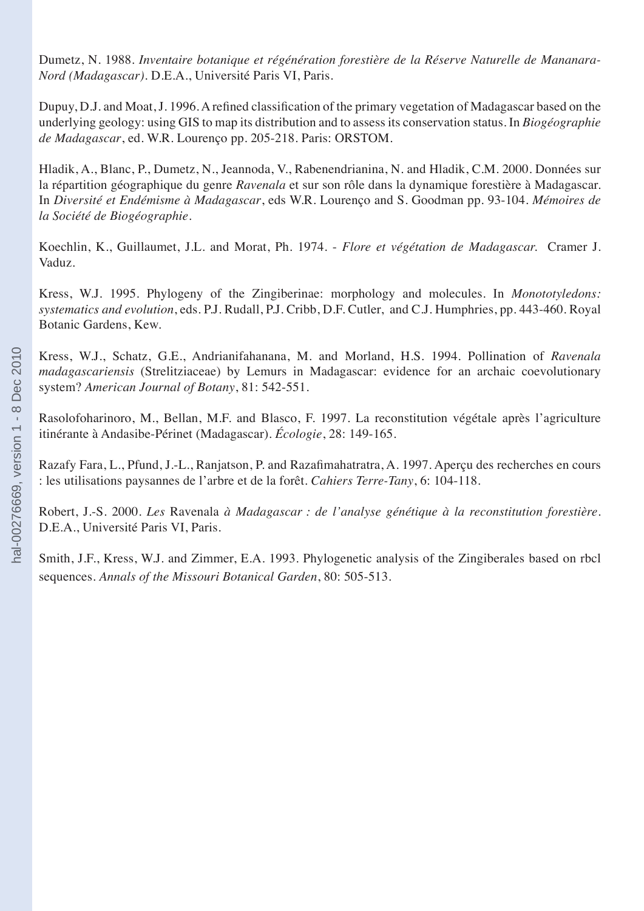Dumetz, N. 1988. *Inventaire botanique et régénération forestière de la Réserve Naturelle de Mananara-Nord (Madagascar)*. D.E.A., Université Paris VI, Paris.

Dupuy, D.J. and Moat, J. 1996. A refined classification of the primary vegetation of Madagascar based on the underlying geology: using GIS to map its distribution and to assess its conservation status. In *Biogéographie de Madagascar*, ed. W.R. Lourenço pp. 205-218. Paris: ORSTOM.

Hladik, A., Blanc, P., Dumetz, N., Jeannoda, V., Rabenendrianina, N. and Hladik, C.M. 2000. Données sur la répartition géographique du genre *Ravenala* et sur son rôle dans la dynamique forestière à Madagascar. In *Diversité et Endémisme à Madagascar*, eds W.R. Lourenço and S. Goodman pp. 93-104*. Mémoires de la Société de Biogéographie.*

Koechlin, K., Guillaumet, J.L. and Morat, Ph. 1974. - *Flore et végétation de Madagascar.* Cramer J. Vaduz.

Kress, W.J. 1995. Phylogeny of the Zingiberinae: morphology and molecules. In *Monototyledons: systematics and evolution*, eds. P.J. Rudall, P.J. Cribb, D.F. Cutler, and C.J. Humphries, pp. 443-460. Royal Botanic Gardens, Kew.

Kress, W.J., Schatz, G.E., Andrianifahanana, M. and Morland, H.S. 1994. Pollination of *Ravenala madagascariensis* (Strelitziaceae) by Lemurs in Madagascar: evidence for an archaic coevolutionary system? *American Journal of Botany*, 81: 542-551.

Rasolofoharinoro, M., Bellan, M.F. and Blasco, F. 1997. La reconstitution végétale après l'agriculture itinérante à Andasibe-Périnet (Madagascar). *Écologie*, 28: 149-165.

Razafy Fara, L., Pfund, J.-L., Ranjatson, P. and Razafimahatratra, A. 1997. Aperçu des recherches en cours : les utilisations paysannes de l'arbre et de la forêt. *Cahiers Terre-Tany*, 6: 104-118.

Robert, J.-S. 2000. *Les* Ravenala *à Madagascar : de l'analyse génétique à la reconstitution forestière*. D.E.A., Université Paris VI, Paris.

Smith, J.F., Kress, W.J. and Zimmer, E.A. 1993. Phylogenetic analysis of the Zingiberales based on rbcl sequences. *Annals of the Missouri Botanical Garden*, 80: 505-513.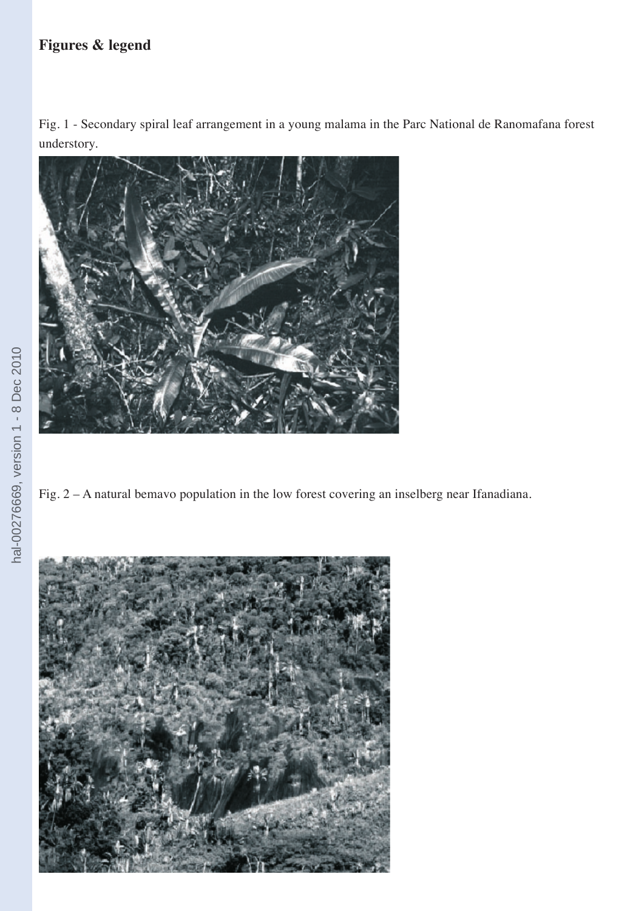## **Figures & legend**

Fig. 1 - Secondary spiral leaf arrangement in a young malama in the Parc National de Ranomafana forest understory.



Fig. 2 – A natural bemavo population in the low forest covering an inselberg near Ifanadiana.